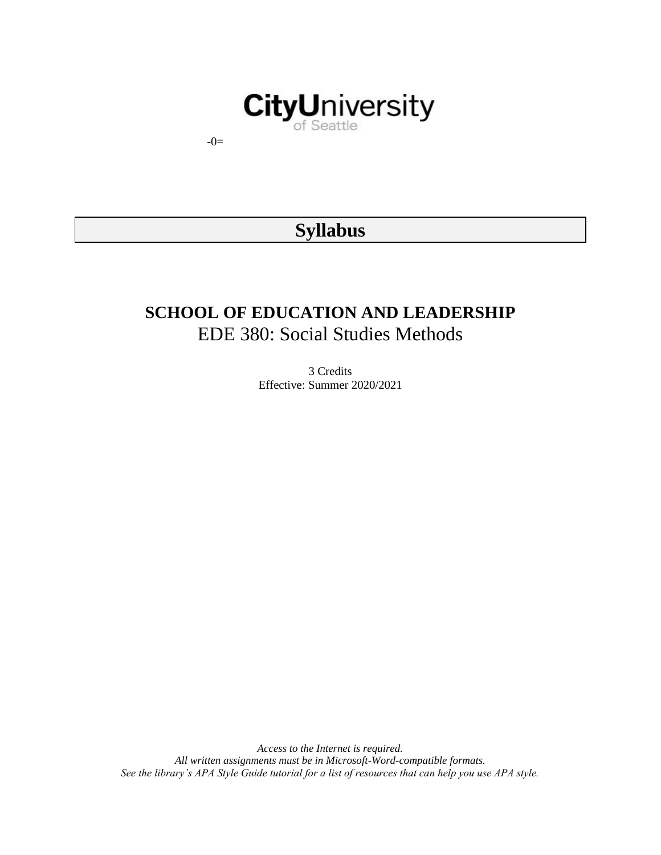# **CityUniversity**

-0=

# **Syllabus**

## **SCHOOL OF EDUCATION AND LEADERSHIP** EDE 380: Social Studies Methods

3 Credits Effective: Summer 2020/2021

*Access to the Internet is required. All written assignments must be in Microsoft-Word-compatible formats. See the library's APA Style Guide tutorial for a list of resources that can help you use APA style.*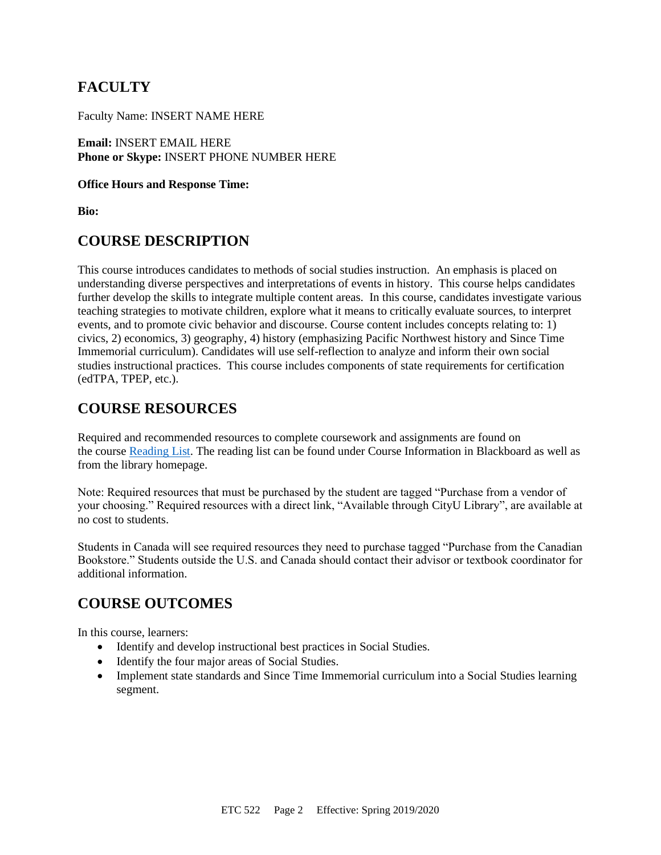## **FACULTY**

Faculty Name: INSERT NAME HERE

**Email:** INSERT EMAIL HERE **Phone or Skype:** INSERT PHONE NUMBER HERE

#### **Office Hours and Response Time:**

**Bio:**

## **COURSE DESCRIPTION**

This course introduces candidates to methods of social studies instruction. An emphasis is placed on understanding diverse perspectives and interpretations of events in history. This course helps candidates further develop the skills to integrate multiple content areas. In this course, candidates investigate various teaching strategies to motivate children, explore what it means to critically evaluate sources, to interpret events, and to promote civic behavior and discourse. Course content includes concepts relating to: 1) civics, 2) economics, 3) geography, 4) history (emphasizing Pacific Northwest history and Since Time Immemorial curriculum). Candidates will use self-reflection to analyze and inform their own social studies instructional practices. This course includes components of state requirements for certification (edTPA, TPEP, etc.).

## **COURSE RESOURCES**

Required and recommended resources to complete coursework and assignments are found on the course [Reading List.](https://nam03.safelinks.protection.outlook.com/?url=https%3A%2F%2Fcityu.alma.exlibrisgroup.com%2Fleganto%2Flogin%3Fauth%3DSAML&data=04%7C01%7CMMara%40cityu.edu%7C70673ce0fe0144040eda08d87472e204%7Cb3fa96d9f5154662add763d854e39e63%7C1%7C0%7C637387384066198115%7CUnknown%7CTWFpbGZsb3d8eyJWIjoiMC4wLjAwMDAiLCJQIjoiV2luMzIiLCJBTiI6Ik1haWwiLCJXVCI6Mn0%3D%7C1000&sdata=JbwP%2Fm5Q%2BMgIUWa%2FXceos%2BoiLv0DX%2B%2FL%2BNGNMbX9P8E%3D&reserved=0) The reading list can be found under Course Information in Blackboard as well as from the library homepage.

Note: Required resources that must be purchased by the student are tagged "Purchase from a vendor of your choosing." Required resources with a direct link, "Available through CityU Library", are available at no cost to students.

Students in Canada will see required resources they need to purchase tagged "Purchase from the Canadian Bookstore." Students outside the U.S. and Canada should contact their advisor or textbook coordinator for additional information.

## **COURSE OUTCOMES**

In this course, learners:

- Identify and develop instructional best practices in Social Studies.
- Identify the four major areas of Social Studies.
- Implement state standards and Since Time Immemorial curriculum into a Social Studies learning segment.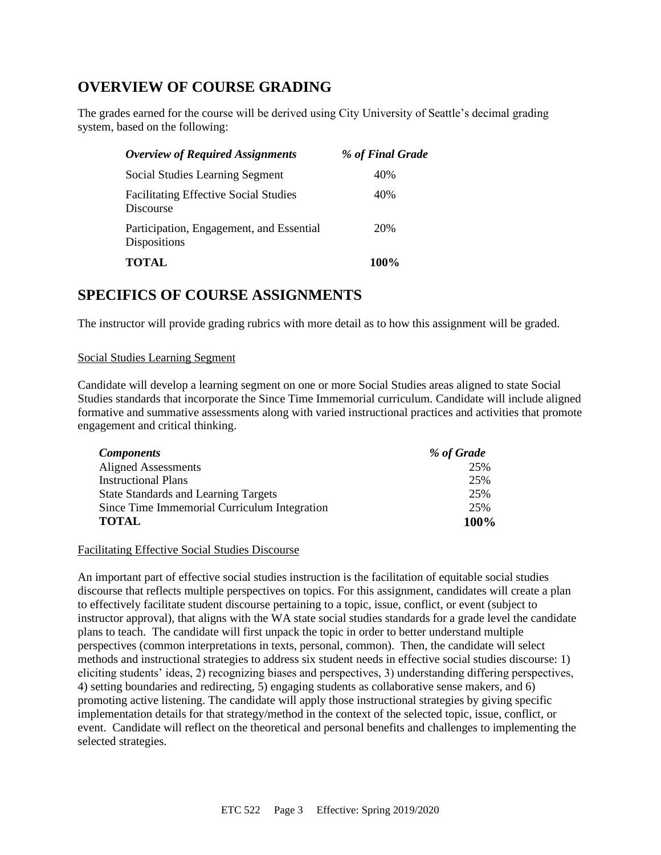## **OVERVIEW OF COURSE GRADING**

The grades earned for the course will be derived using City University of Seattle's decimal grading system, based on the following:

| <b>Overview of Required Assignments</b>                         | % of Final Grade |
|-----------------------------------------------------------------|------------------|
| Social Studies Learning Segment                                 | 40%              |
| <b>Facilitating Effective Social Studies</b><br>Discourse       | 40%              |
| Participation, Engagement, and Essential<br><b>Dispositions</b> | 20%              |
| <b>TOTAL</b>                                                    | 100%             |

## **SPECIFICS OF COURSE ASSIGNMENTS**

The instructor will provide grading rubrics with more detail as to how this assignment will be graded.

#### Social Studies Learning Segment

Candidate will develop a learning segment on one or more Social Studies areas aligned to state Social Studies standards that incorporate the Since Time Immemorial curriculum. Candidate will include aligned formative and summative assessments along with varied instructional practices and activities that promote engagement and critical thinking.

| <b>Components</b>                            | % of Grade |
|----------------------------------------------|------------|
| Aligned Assessments                          | 25%        |
| <b>Instructional Plans</b>                   | 25%        |
| <b>State Standards and Learning Targets</b>  | 25%        |
| Since Time Immemorial Curriculum Integration | 25%        |
| <b>TOTAL</b>                                 | 100%       |

#### Facilitating Effective Social Studies Discourse

An important part of effective social studies instruction is the facilitation of equitable social studies discourse that reflects multiple perspectives on topics. For this assignment, candidates will create a plan to effectively facilitate student discourse pertaining to a topic, issue, conflict, or event (subject to instructor approval), that aligns with the WA state social studies standards for a grade level the candidate plans to teach. The candidate will first unpack the topic in order to better understand multiple perspectives (common interpretations in texts, personal, common). Then, the candidate will select methods and instructional strategies to address six student needs in effective social studies discourse: 1) eliciting students' ideas, 2) recognizing biases and perspectives, 3) understanding differing perspectives, 4) setting boundaries and redirecting, 5) engaging students as collaborative sense makers, and 6) promoting active listening. The candidate will apply those instructional strategies by giving specific implementation details for that strategy/method in the context of the selected topic, issue, conflict, or event. Candidate will reflect on the theoretical and personal benefits and challenges to implementing the selected strategies.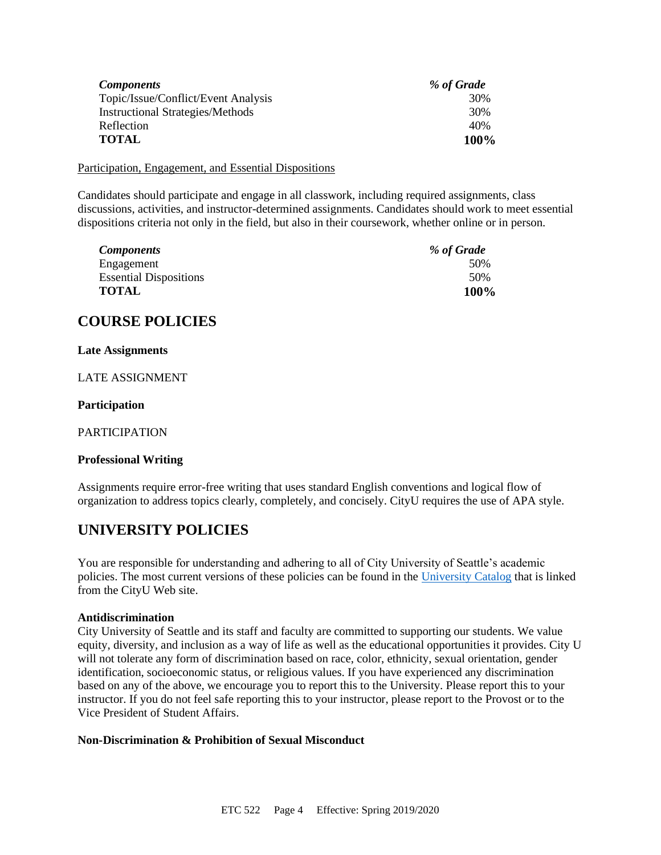| <b>Components</b>                       | % of Grade  |
|-----------------------------------------|-------------|
| Topic/Issue/Conflict/Event Analysis     | 30%         |
| <b>Instructional Strategies/Methods</b> | 30%         |
| Reflection                              | 40%         |
| <b>TOTAL</b>                            | <b>100%</b> |

Participation, Engagement, and Essential Dispositions

Candidates should participate and engage in all classwork, including required assignments, class discussions, activities, and instructor-determined assignments. Candidates should work to meet essential dispositions criteria not only in the field, but also in their coursework, whether online or in person.

| <b>Components</b>             | % of Grade |
|-------------------------------|------------|
| Engagement                    | 50%        |
| <b>Essential Dispositions</b> | 50%        |
| <b>TOTAL</b>                  | 100%       |

## **COURSE POLICIES**

#### **Late Assignments**

LATE ASSIGNMENT

#### **Participation**

PARTICIPATION

#### **Professional Writing**

Assignments require error-free writing that uses standard English conventions and logical flow of organization to address topics clearly, completely, and concisely. CityU requires the use of APA style.

## **UNIVERSITY POLICIES**

You are responsible for understanding and adhering to all of City University of Seattle's academic policies. The most current versions of these policies can be found in the [University Catalog](https://www.cityu.edu/catalog/) that is linked from the CityU Web site.

#### **Antidiscrimination**

City University of Seattle and its staff and faculty are committed to supporting our students. We value equity, diversity, and inclusion as a way of life as well as the educational opportunities it provides. City U will not tolerate any form of discrimination based on race, color, ethnicity, sexual orientation, gender identification, socioeconomic status, or religious values. If you have experienced any discrimination based on any of the above, we encourage you to report this to the University. Please report this to your instructor. If you do not feel safe reporting this to your instructor, please report to the Provost or to the Vice President of Student Affairs.

#### **Non-Discrimination & Prohibition of Sexual Misconduct**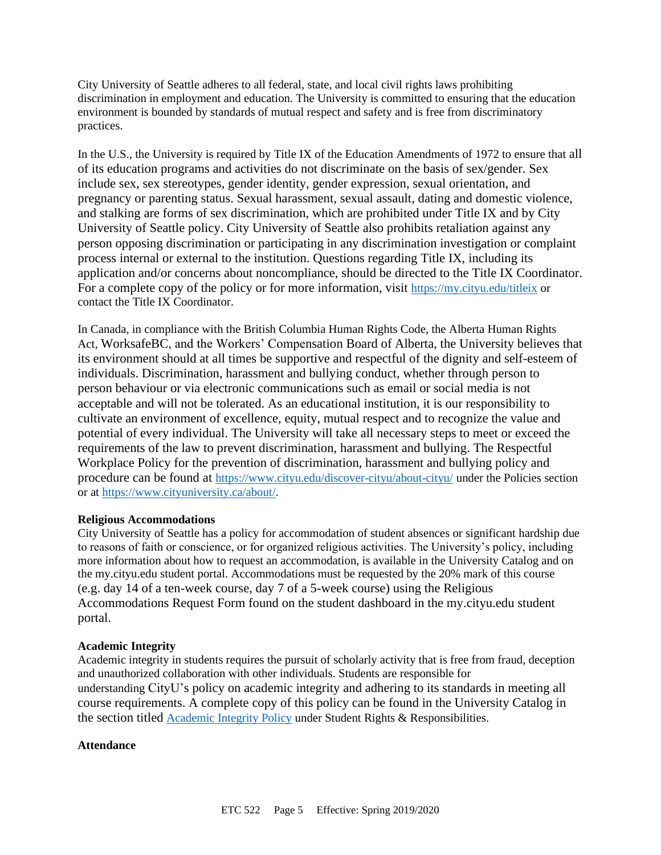City University of Seattle adheres to all federal, state, and local civil rights laws prohibiting discrimination in employment and education. The University is committed to ensuring that the education environment is bounded by standards of mutual respect and safety and is free from discriminatory practices.

In the U.S., the University is required by Title IX of the Education Amendments of 1972 to ensure that all of its education programs and activities do not discriminate on the basis of sex/gender. Sex include sex, sex stereotypes, gender identity, gender expression, sexual orientation, and pregnancy or parenting status. Sexual harassment, sexual assault, dating and domestic violence, and stalking are forms of sex discrimination, which are prohibited under Title IX and by City University of Seattle policy. City University of Seattle also prohibits retaliation against any person opposing discrimination or participating in any discrimination investigation or complaint process internal or external to the institution. Questions regarding Title IX, including its application and/or concerns about noncompliance, should be directed to the Title IX Coordinator. For a complete copy of the policy or for more information, visit <https://my.cityu.edu/titleix> or contact the Title IX Coordinator.

In Canada, in compliance with the British Columbia Human Rights Code, the Alberta Human Rights Act, WorksafeBC, and the Workers' Compensation Board of Alberta, the University believes that its environment should at all times be supportive and respectful of the dignity and self-esteem of individuals. Discrimination, harassment and bullying conduct, whether through person to person behaviour or via electronic communications such as email or social media is not acceptable and will not be tolerated. As an educational institution, it is our responsibility to cultivate an environment of excellence, equity, mutual respect and to recognize the value and potential of every individual. The University will take all necessary steps to meet or exceed the requirements of the law to prevent discrimination, harassment and bullying. The Respectful Workplace Policy for the prevention of discrimination, harassment and bullying policy and procedure can be found at <https://www.cityu.edu/discover-cityu/about-cityu/> under the Policies section or at <https://www.cityuniversity.ca/about/>.

#### **Religious Accommodations**

City University of Seattle has a policy for accommodation of student absences or significant hardship due to reasons of faith or conscience, or for organized religious activities. The University's policy, including more information about how to request an accommodation, is available in the University Catalog and on the my.cityu.edu student portal. Accommodations must be requested by the 20% mark of this course (e.g. day 14 of a ten-week course, day 7 of a 5-week course) using the Religious Accommodations Request Form found on the student dashboard in the my.cityu.edu student portal.

#### **Academic Integrity**

Academic integrity in students requires the pursuit of scholarly activity that is free from fraud, deception and unauthorized collaboration with other individuals. Students are responsible for understanding CityU's policy on academic integrity and adhering to its standards in meeting all course requirements. A complete copy of this policy can be found in the University Catalog in the section titled [Academic Integrity Policy](https://www.cityu.edu/catalog/;) under Student Rights & Responsibilities.

#### **Attendance**